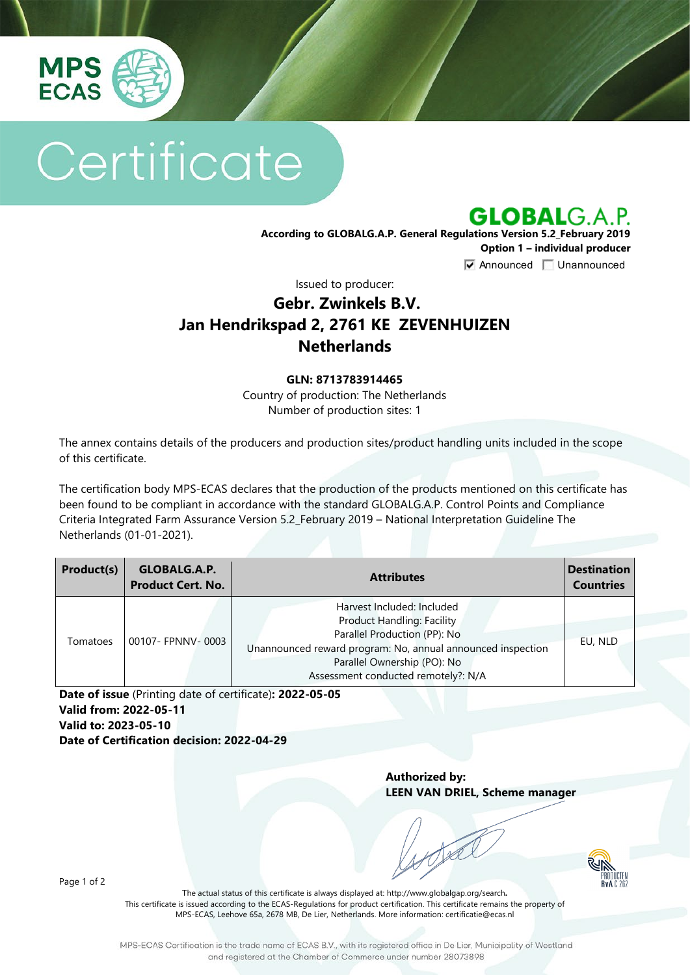

# Certificate

**GLOBALG.A.P.** 

**According to GLOBALG.A.P. General Regulations Version 5.2\_February 2019 Option 1 – individual producer**  $\nabla$  Announced  $\nabla$  Unannounced

Issued to producer:

## **Gebr. Zwinkels B.V. Jan Hendrikspad 2, 2761 KE ZEVENHUIZEN Netherlands**

#### **GLN: 8713783914465**

Country of production: The Netherlands Number of production sites: 1

The annex contains details of the producers and production sites/product handling units included in the scope of this certificate.

The certification body MPS-ECAS declares that the production of the products mentioned on this certificate has been found to be compliant in accordance with the standard GLOBALG.A.P. Control Points and Compliance Criteria Integrated Farm Assurance Version 5.2\_February 2019 – National Interpretation Guideline The Netherlands (01-01-2021).

| Product(s) | GLOBALG.A.P.<br><b>Product Cert. No.</b> | <b>Attributes</b>                                                                                                                                                                                                                    | <b>Destination</b><br><b>Countries</b> |
|------------|------------------------------------------|--------------------------------------------------------------------------------------------------------------------------------------------------------------------------------------------------------------------------------------|----------------------------------------|
| Tomatoes   | 00107- FPNNV-0003                        | Harvest Included: Included<br><b>Product Handling: Facility</b><br>Parallel Production (PP): No<br>Unannounced reward program: No, annual announced inspection<br>Parallel Ownership (PO): No<br>Assessment conducted remotely?: N/A | EU, NLD                                |

**Date of issue** (Printing date of certificate)**: 2022-05-05 Valid from: 2022-05-11 Valid to: 2023-05-10 Date of Certification decision: 2022-04-29**

> **Authorized by: LEEN VAN DRIEL, Scheme manager**



Page 1 of 2

The actual status of this certificate is always displayed at: <http://www.globalgap.org/search>**.**  This certificate is issued according to the ECAS-Regulations for product certification. This certificate remains the property of MPS-ECAS, Leehove 65a, 2678 MB, De Lier, Netherlands. More information[: certificatie@ecas.nl](mailto:certificatie@ecas.nl)